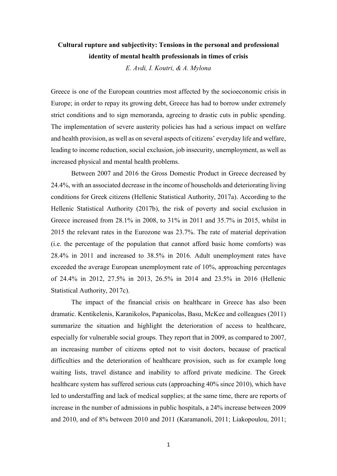# Cultural rupture and subjectivity: Tensions in the personal and professional identity of mental health professionals in times of crisis

E. Avdi, I. Koutri, & A. Mylona

Greece is one of the European countries most affected by the socioeconomic crisis in Europe; in order to repay its growing debt, Greece has had to borrow under extremely strict conditions and to sign memoranda, agreeing to drastic cuts in public spending. The implementation of severe austerity policies has had a serious impact on welfare and health provision, as well as on several aspects of citizens' everyday life and welfare, leading to income reduction, social exclusion, job insecurity, unemployment, as well as increased physical and mental health problems.

Between 2007 and 2016 the Gross Domestic Product in Greece decreased by 24.4%, with an associated decrease in the income of households and deteriorating living conditions for Greek citizens (Hellenic Statistical Authority, 2017a). According to the Hellenic Statistical Authority (2017b), the risk of poverty and social exclusion in Greece increased from 28.1% in 2008, to 31% in 2011 and 35.7% in 2015, whilst in 2015 the relevant rates in the Eurozone was 23.7%. The rate of material deprivation (i.e. the percentage of the population that cannot afford basic home comforts) was 28.4% in 2011 and increased to 38.5% in 2016. Adult unemployment rates have exceeded the average European unemployment rate of 10%, approaching percentages of 24.4% in 2012, 27.5% in 2013, 26.5% in 2014 and 23.5% in 2016 (Hellenic Statistical Authority, 2017c).

The impact of the financial crisis on healthcare in Greece has also been dramatic. Kentikelenis, Karanikolos, Papanicolas, Basu, McKee and colleagues (2011) summarize the situation and highlight the deterioration of access to healthcare, especially for vulnerable social groups. They report that in 2009, as compared to 2007, an increasing number of citizens opted not to visit doctors, because of practical difficulties and the deterioration of healthcare provision, such as for example long waiting lists, travel distance and inability to afford private medicine. The Greek healthcare system has suffered serious cuts (approaching 40% since 2010), which have led to understaffing and lack of medical supplies; at the same time, there are reports of increase in the number of admissions in public hospitals, a 24% increase between 2009 and 2010, and of 8% between 2010 and 2011 (Karamanoli, 2011; Liakopoulou, 2011;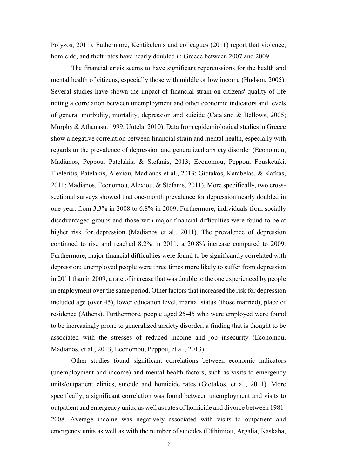Polyzos, 2011). Futhermore, Kentikelenis and colleagues (2011) report that violence, homicide, and theft rates have nearly doubled in Greece between 2007 and 2009.

The financial crisis seems to have significant repercussions for the health and mental health of citizens, especially those with middle or low income (Hudson, 2005). Several studies have shown the impact of financial strain on citizens' quality of life noting a correlation between unemployment and other economic indicators and levels of general morbidity, mortality, depression and suicide (Catalano & Bellows, 2005; Murphy & Athanasu, 1999; Uutela, 2010). Data from epidemiological studies in Greece show a negative correlation between financial strain and mental health, especially with regards to the prevalence of depression and generalized anxiety disorder (Economou, Madianos, Peppou, Patelakis, & Stefanis, 2013; Economou, Peppou, Fousketaki, Theleritis, Patelakis, Alexiou, Madianos et al., 2013; Giotakos, Karabelas, & Kafkas, 2011; Madianos, Economou, Alexiou, & Stefanis, 2011). More specifically, two crosssectional surveys showed that one-month prevalence for depression nearly doubled in one year, from 3.3% in 2008 to 6.8% in 2009. Furthermore, individuals from socially disadvantaged groups and those with major financial difficulties were found to be at higher risk for depression (Madianos et al., 2011). The prevalence of depression continued to rise and reached 8.2% in 2011, a 20.8% increase compared to 2009. Furthermore, major financial difficulties were found to be significantly correlated with depression; unemployed people were three times more likely to suffer from depression in 2011 than in 2009, a rate of increase that was double to the one experienced by people in employment over the same period. Other factors that increased the risk for depression included age (over 45), lower education level, marital status (those married), place of residence (Athens). Furthermore, people aged 25-45 who were employed were found to be increasingly prone to generalized anxiety disorder, a finding that is thought to be associated with the stresses of reduced income and job insecurity (Economou, Madianos, et al., 2013; Economou, Peppou, et al., 2013).

Other studies found significant correlations between economic indicators (unemployment and income) and mental health factors, such as visits to emergency units/outpatient clinics, suicide and homicide rates (Giotakos, et al., 2011). More specifically, a significant correlation was found between unemployment and visits to outpatient and emergency units, as well as rates of homicide and divorce between 1981- 2008. Average income was negatively associated with visits to outpatient and emergency units as well as with the number of suicides (Efthimiou, Argalia, Kaskaba,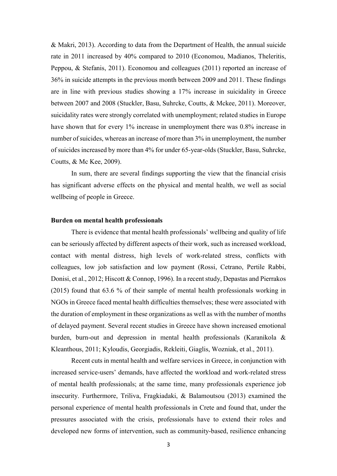& Makri, 2013). According to data from the Department of Health, the annual suicide rate in 2011 increased by 40% compared to 2010 (Economou, Madianos, Theleritis, Peppou, & Stefanis, 2011). Economou and colleagues (2011) reported an increase of 36% in suicide attempts in the previous month between 2009 and 2011. These findings are in line with previous studies showing a 17% increase in suicidality in Greece between 2007 and 2008 (Stuckler, Basu, Suhrcke, Coutts, & Mckee, 2011). Moreover, suicidality rates were strongly correlated with unemployment; related studies in Europe have shown that for every 1% increase in unemployment there was 0.8% increase in number of suicides, whereas an increase of more than 3% in unemployment, the number of suicides increased by more than 4% for under 65-year-olds (Stuckler, Basu, Suhrcke, Coutts, & Mc Kee, 2009).

In sum, there are several findings supporting the view that the financial crisis has significant adverse effects on the physical and mental health, we well as social wellbeing of people in Greece.

## Burden on mental health professionals

There is evidence that mental health professionals' wellbeing and quality of life can be seriously affected by different aspects of their work, such as increased workload, contact with mental distress, high levels of work-related stress, conflicts with colleagues, low job satisfaction and low payment (Rossi, Cetrano, Pertile Rabbi, Donisi, et al., 2012; Hiscott & Connop, 1996). In a recent study, Depastas and Pierrakos (2015) found that 63.6 % of their sample of mental health professionals working in NGOs in Greece faced mental health difficulties themselves; these were associated with the duration of employment in these organizations as well as with the number of months of delayed payment. Several recent studies in Greece have shown increased emotional burden, burn-out and depression in mental health professionals (Karanikola & Kleanthous, 2011; Kyloudis, Georgiadis, Rekleiti, Giaglis, Wozniak, et al., 2011).

Recent cuts in mental health and welfare services in Greece, in conjunction with increased service-users' demands, have affected the workload and work-related stress of mental health professionals; at the same time, many professionals experience job insecurity. Furthermore, Triliva, Fragkiadaki, & Balamoutsou (2013) examined the personal experience of mental health professionals in Crete and found that, under the pressures associated with the crisis, professionals have to extend their roles and developed new forms of intervention, such as community-based, resilience enhancing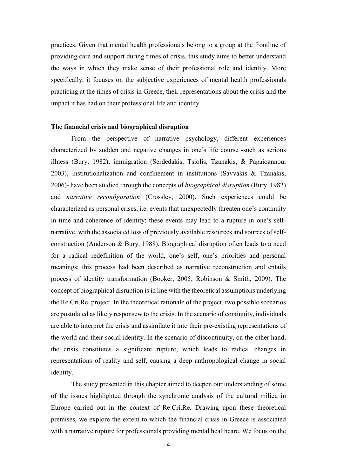practices. Given that mental health professionals belong to a group at the frontline of providing care and support during times of crisis, this study aims to better understand the ways in which they make sense of their professional role and identity. More specifically, it focuses on the subjective experiences of mental health professionals practicing at the times of crisis in Greece, their representations about the crisis and the impact it has had on their professional life and identity.

#### The financial crisis and biographical disruption

From the perspective of narrative psychology, different experiences characterized by sudden and negative changes in one's life course -such as serious illness (Bury, 1982), immigration (Serdedakis, Tsiolis, Tzanakis, & Papaioannou, 2003), institutionalization and confinement in institutions (Savvakis & Tzanakis, 2006)- have been studied through the concepts of biographical disruption (Bury, 1982) and narrative reconfiguration (Crossley, 2000). Such experiences could be characterized as personal crises, i.e. events that unexpectedly threaten one's continuity in time and coherence of identity; these events may lead to a rupture in one's selfnarrative, with the associated loss of previously available resources and sources of selfconstruction (Anderson & Bury, 1988). Biographical disruption often leads to a need for a radical redefinition of the world, one's self, one's priorities and personal meanings; this process had been described as narrative reconstruction and entails process of identity transformation (Booker, 2005; Robinson & Smith, 2009). The concept of biographical disruption is in line with the theoretical assumptions underlying the Re.Cri.Re. project. In the theoretical rationale of the project, two possible scenarios are postulated as likely responsew to the crisis. In the scenario of continuity, individuals are able to interpret the crisis and assimilate it into their pre-existing representations of the world and their social identity. In the scenario of discontinuity, on the other hand, the crisis constitutes a significant rupture, which leads to radical changes in representations of reality and self, causing a deep anthropological change in social identity.

 The study presented in this chapter aimed to deepen our understanding of some of the issues highlighted through the synchronic analysis of the cultural milieu in Europe carried out in the context of Re.Cri.Re. Drawing upon these theoretical premises, we explore the extent to which the financial crisis in Greece is associated with a narrative rupture for professionals providing mental healthcare. We focus on the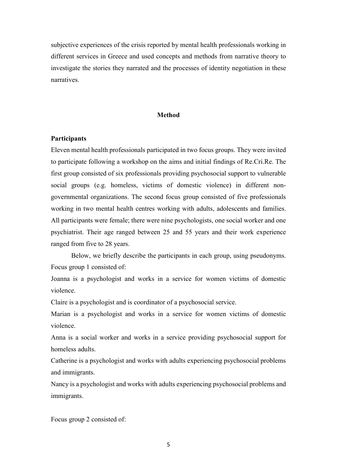subjective experiences of the crisis reported by mental health professionals working in different services in Greece and used concepts and methods from narrative theory to investigate the stories they narrated and the processes of identity negotiation in these narratives.

# Method

## **Participants**

Eleven mental health professionals participated in two focus groups. They were invited to participate following a workshop on the aims and initial findings of Re.Cri.Re. The first group consisted of six professionals providing psychosocial support to vulnerable social groups (e.g. homeless, victims of domestic violence) in different nongovernmental organizations. The second focus group consisted of five professionals working in two mental health centres working with adults, adolescents and families. All participants were female; there were nine psychologists, one social worker and one psychiatrist. Their age ranged between 25 and 55 years and their work experience ranged from five to 28 years.

Below, we briefly describe the participants in each group, using pseudonyms. Focus group 1 consisted of:

Joanna is a psychologist and works in a service for women victims of domestic violence.

Claire is a psychologist and is coordinator of a psychosocial service.

Marian is a psychologist and works in a service for women victims of domestic violence.

Anna is a social worker and works in a service providing psychosocial support for homeless adults.

Catherine is a psychologist and works with adults experiencing psychosocial problems and immigrants.

Nancy is a psychologist and works with adults experiencing psychosocial problems and immigrants.

Focus group 2 consisted of: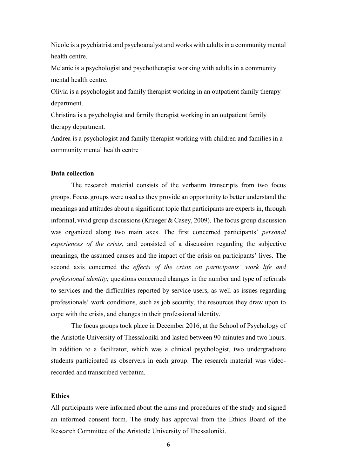Nicole is a psychiatrist and psychoanalyst and works with adults in a community mental health centre.

Melanie is a psychologist and psychotherapist working with adults in a community mental health centre.

Olivia is a psychologist and family therapist working in an outpatient family therapy department.

Christina is a psychologist and family therapist working in an outpatient family therapy department.

Andrea is a psychologist and family therapist working with children and families in a community mental health centre

## Data collection

The research material consists of the verbatim transcripts from two focus groups. Focus groups were used as they provide an opportunity to better understand the meanings and attitudes about a significant topic that participants are experts in, through informal, vivid group discussions (Krueger & Casey, 2009). The focus group discussion was organized along two main axes. The first concerned participants' *personal* experiences of the crisis, and consisted of a discussion regarding the subjective meanings, the assumed causes and the impact of the crisis on participants' lives. The second axis concerned the effects of the crisis on participants' work life and professional identity; questions concerned changes in the number and type of referrals to services and the difficulties reported by service users, as well as issues regarding professionals' work conditions, such as job security, the resources they draw upon to cope with the crisis, and changes in their professional identity.

The focus groups took place in December 2016, at the School of Psychology of the Aristotle University of Thessaloniki and lasted between 90 minutes and two hours. In addition to a facilitator, which was a clinical psychologist, two undergraduate students participated as observers in each group. The research material was videorecorded and transcribed verbatim.

# **Ethics**

All participants were informed about the aims and procedures of the study and signed an informed consent form. The study has approval from the Ethics Board of the Research Committee of the Aristotle University of Thessaloniki.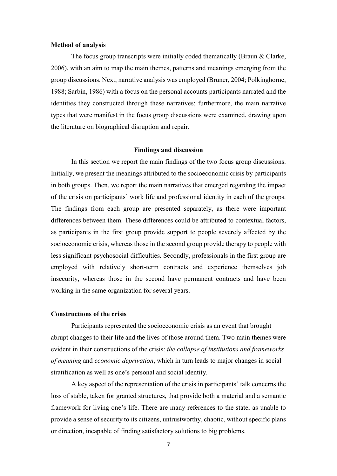#### Method of analysis

The focus group transcripts were initially coded thematically (Braun & Clarke, 2006), with an aim to map the main themes, patterns and meanings emerging from the group discussions. Next, narrative analysis was employed (Bruner, 2004; Polkinghorne, 1988; Sarbin, 1986) with a focus on the personal accounts participants narrated and the identities they constructed through these narratives; furthermore, the main narrative types that were manifest in the focus group discussions were examined, drawing upon the literature on biographical disruption and repair.

#### Findings and discussion

In this section we report the main findings of the two focus group discussions. Initially, we present the meanings attributed to the socioeconomic crisis by participants in both groups. Then, we report the main narratives that emerged regarding the impact of the crisis on participants' work life and professional identity in each of the groups. The findings from each group are presented separately, as there were important differences between them. These differences could be attributed to contextual factors, as participants in the first group provide support to people severely affected by the socioeconomic crisis, whereas those in the second group provide therapy to people with less significant psychosocial difficulties. Secondly, professionals in the first group are employed with relatively short-term contracts and experience themselves job insecurity, whereas those in the second have permanent contracts and have been working in the same organization for several years.

#### Constructions of the crisis

Participants represented the socioeconomic crisis as an event that brought abrupt changes to their life and the lives of those around them. Two main themes were evident in their constructions of the crisis: the collapse of institutions and frameworks of meaning and economic deprivation, which in turn leads to major changes in social stratification as well as one's personal and social identity.

 A key aspect of the representation of the crisis in participants' talk concerns the loss of stable, taken for granted structures, that provide both a material and a semantic framework for living one's life. There are many references to the state, as unable to provide a sense of security to its citizens, untrustworthy, chaotic, without specific plans or direction, incapable of finding satisfactory solutions to big problems.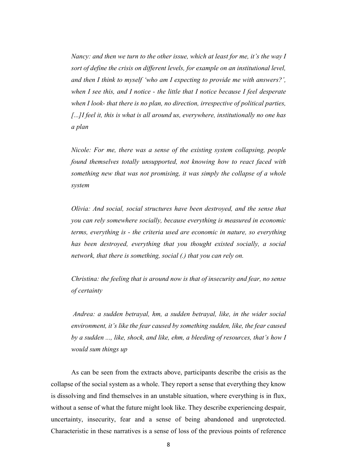Nancy: and then we turn to the other issue, which at least for me, it's the way I sort of define the crisis on different levels, for example on an institutional level, and then I think to myself 'who am I expecting to provide me with answers?', when I see this, and I notice - the little that I notice because I feel desperate when I look- that there is no plan, no direction, irrespective of political parties, [...] I feel it, this is what is all around us, everywhere, institutionally no one has a plan

Nicole: For me, there was a sense of the existing system collapsing, people found themselves totally unsupported, not knowing how to react faced with something new that was not promising, it was simply the collapse of a whole system

Olivia: And social, social structures have been destroyed, and the sense that you can rely somewhere socially, because everything is measured in economic terms, everything is - the criteria used are economic in nature, so everything has been destroyed, everything that you thought existed socially, a social network, that there is something, social (.) that you can rely on.

Christina: the feeling that is around now is that of insecurity and fear, no sense of certainty

 Andrea: a sudden betrayal, hm, a sudden betrayal, like, in the wider social environment, it's like the fear caused by something sudden, like, the fear caused by a sudden ..., like, shock, and like, ehm, a bleeding of resources, that's how I would sum things up

As can be seen from the extracts above, participants describe the crisis as the collapse of the social system as a whole. They report a sense that everything they know is dissolving and find themselves in an unstable situation, where everything is in flux, without a sense of what the future might look like. They describe experiencing despair, uncertainty, insecurity, fear and a sense of being abandoned and unprotected. Characteristic in these narratives is a sense of loss of the previous points of reference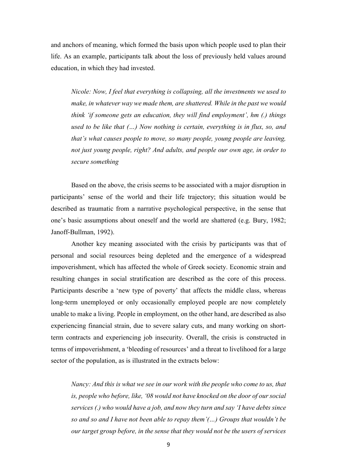and anchors of meaning, which formed the basis upon which people used to plan their life. As an example, participants talk about the loss of previously held values around education, in which they had invested.

Nicole: Now, I feel that everything is collapsing, all the investments we used to make, in whatever way we made them, are shattered. While in the past we would think 'if someone gets an education, they will find employment', hm (.) things used to be like that (…) Now nothing is certain, everything is in flux, so, and that's what causes people to move, so many people, young people are leaving, not just young people, right? And adults, and people our own age, in order to secure something

Based on the above, the crisis seems to be associated with a major disruption in participants' sense of the world and their life trajectory; this situation would be described as traumatic from a narrative psychological perspective, in the sense that one's basic assumptions about oneself and the world are shattered (e.g. Bury, 1982; Janoff-Bullman, 1992).

Another key meaning associated with the crisis by participants was that of personal and social resources being depleted and the emergence of a widespread impoverishment, which has affected the whole of Greek society. Economic strain and resulting changes in social stratification are described as the core of this process. Participants describe a 'new type of poverty' that affects the middle class, whereas long-term unemployed or only occasionally employed people are now completely unable to make a living. People in employment, on the other hand, are described as also experiencing financial strain, due to severe salary cuts, and many working on shortterm contracts and experiencing job insecurity. Overall, the crisis is constructed in terms of impoverishment, a 'bleeding of resources' and a threat to livelihood for a large sector of the population, as is illustrated in the extracts below:

Nancy: And this is what we see in our work with the people who come to us, that is, people who before, like, '08 would not have knocked on the door of our social services (.) who would have a job, and now they turn and say 'I have debts since so and so and I have not been able to repay them'(…) Groups that wouldn't be our target group before, in the sense that they would not be the users of services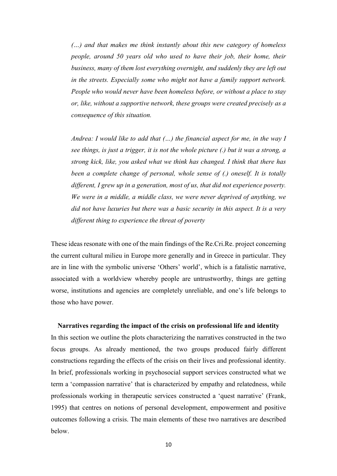(…) and that makes me think instantly about this new category of homeless people, around 50 years old who used to have their job, their home, their business, many of them lost everything overnight, and suddenly they are left out in the streets. Especially some who might not have a family support network. People who would never have been homeless before, or without a place to stay or, like, without a supportive network, these groups were created precisely as a consequence of this situation.

Andrea: I would like to add that  $(...)$  the financial aspect for me, in the way I see things, is just a trigger, it is not the whole picture (.) but it was a strong, a strong kick, like, you asked what we think has changed. I think that there has been a complete change of personal, whole sense of (.) oneself. It is totally different, I grew up in a generation, most of us, that did not experience poverty. We were in a middle, a middle class, we were never deprived of anything, we did not have luxuries but there was a basic security in this aspect. It is a very different thing to experience the threat of poverty

These ideas resonate with one of the main findings of the Re.Cri.Re. project concerning the current cultural milieu in Europe more generally and in Greece in particular. They are in line with the symbolic universe 'Others' world', which is a fatalistic narrative, associated with a worldview whereby people are untrustworthy, things are getting worse, institutions and agencies are completely unreliable, and one's life belongs to those who have power.

#### Narratives regarding the impact of the crisis on professional life and identity

In this section we outline the plots characterizing the narratives constructed in the two focus groups. As already mentioned, the two groups produced fairly different constructions regarding the effects of the crisis on their lives and professional identity. In brief, professionals working in psychosocial support services constructed what we term a 'compassion narrative' that is characterized by empathy and relatedness, while professionals working in therapeutic services constructed a 'quest narrative' (Frank, 1995) that centres on notions of personal development, empowerment and positive outcomes following a crisis. The main elements of these two narratives are described below.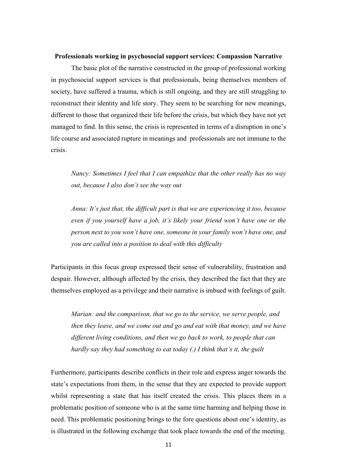#### Professionals working in psychosocial support services: Compassion Narrative

The basic plot of the narrative constructed in the group of professional working in psychosocial support services is that professionals, being themselves members of society, have suffered a trauma, which is still ongoing, and they are still struggling to reconstruct their identity and life story. They seem to be searching for new meanings, different to those that organized their life before the crisis, but which they have not yet managed to find. In this sense, the crisis is represented in terms of a disruption in one's life course and associated rupture in meanings and professionals are not immune to the crisis.

Nancy: Sometimes I feel that I can empathize that the other really has no way out, because I also don't see the way out

Anna: It's just that, the difficult part is that we are experiencing it too, because even if you yourself have a job, it's likely your friend won't have one or the person next to you won't have one, someone in your family won't have one, and you are called into a position to deal with this difficulty

Participants in this focus group expressed their sense of vulnerability, frustration and despair. However, although affected by the crisis, they described the fact that they are themselves employed as a privilege and their narrative is imbued with feelings of guilt.

Marian: and the comparison, that we go to the service, we serve people, and then they leave, and we come out and go and eat with that money, and we have different living conditions, and then we go back to work, to people that can hardly say they had something to eat today (.) I think that's it, the guilt

Furthermore, participants describe conflicts in their role and express anger towards the state's expectations from them, in the sense that they are expected to provide support whilst representing a state that has itself created the crisis. This places them in a problematic position of someone who is at the same time harming and helping those in need. This problematic positioning brings to the fore questions about one's identity, as is illustrated in the following exchange that took place towards the end of the meeting.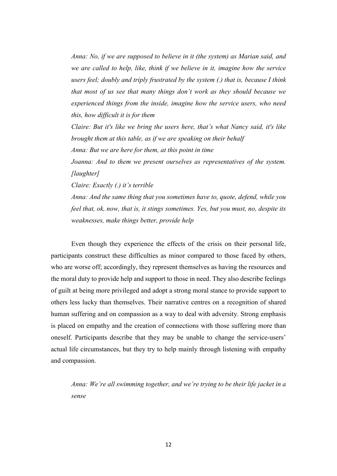Anna: No, if we are supposed to believe in it (the system) as Marian said, and we are called to help, like, think if we believe in it, imagine how the service users feel; doubly and triply frustrated by the system (.) that is, because I think that most of us see that many things don't work as they should because we experienced things from the inside, imagine how the service users, who need this, how difficult it is for them

Claire: But it's like we bring the users here, that's what Nancy said, it's like brought them at this table, as if we are speaking on their behalf Anna: But we are here for them, at this point in time

Joanna: And to them we present ourselves as representatives of the system. [laughter]

Claire: Exactly (.) it's terrible

Anna: And the same thing that you sometimes have to, quote, defend, while you feel that, ok, now, that is, it stings sometimes. Yes, but you must, no, despite its weaknesses, make things better, provide help

Even though they experience the effects of the crisis on their personal life, participants construct these difficulties as minor compared to those faced by others, who are worse off; accordingly, they represent themselves as having the resources and the moral duty to provide help and support to those in need. They also describe feelings of guilt at being more privileged and adopt a strong moral stance to provide support to others less lucky than themselves. Their narrative centres on a recognition of shared human suffering and on compassion as a way to deal with adversity. Strong emphasis is placed on empathy and the creation of connections with those suffering more than oneself. Participants describe that they may be unable to change the service-users' actual life circumstances, but they try to help mainly through listening with empathy and compassion.

Anna: We're all swimming together, and we're trying to be their life jacket in a sense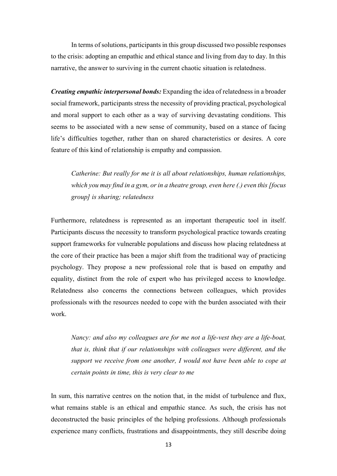In terms of solutions, participants in this group discussed two possible responses to the crisis: adopting an empathic and ethical stance and living from day to day. In this narrative, the answer to surviving in the current chaotic situation is relatedness.

Creating empathic interpersonal bonds: Expanding the idea of relatedness in a broader social framework, participants stress the necessity of providing practical, psychological and moral support to each other as a way of surviving devastating conditions. This seems to be associated with a new sense of community, based on a stance of facing life's difficulties together, rather than on shared characteristics or desires. A core feature of this kind of relationship is empathy and compassion.

Catherine: But really for me it is all about relationships, human relationships, which you may find in a gym, or in a theatre group, even here (.) even this [focus group] is sharing; relatedness

Furthermore, relatedness is represented as an important therapeutic tool in itself. Participants discuss the necessity to transform psychological practice towards creating support frameworks for vulnerable populations and discuss how placing relatedness at the core of their practice has been a major shift from the traditional way of practicing psychology. They propose a new professional role that is based on empathy and equality, distinct from the role of expert who has privileged access to knowledge. Relatedness also concerns the connections between colleagues, which provides professionals with the resources needed to cope with the burden associated with their work.

Nancy: and also my colleagues are for me not a life-vest they are a life-boat, that is, think that if our relationships with colleagues were different, and the support we receive from one another, I would not have been able to cope at certain points in time, this is very clear to me

In sum, this narrative centres on the notion that, in the midst of turbulence and flux, what remains stable is an ethical and empathic stance. As such, the crisis has not deconstructed the basic principles of the helping professions. Although professionals experience many conflicts, frustrations and disappointments, they still describe doing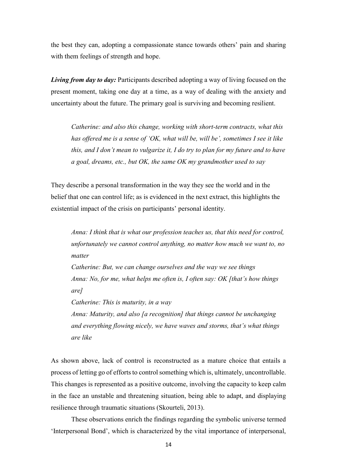the best they can, adopting a compassionate stance towards others' pain and sharing with them feelings of strength and hope.

Living from day to day: Participants described adopting a way of living focused on the present moment, taking one day at a time, as a way of dealing with the anxiety and uncertainty about the future. The primary goal is surviving and becoming resilient.

Catherine: and also this change, working with short-term contracts, what this has offered me is a sense of 'OK, what will be, will be', sometimes I see it like this, and I don't mean to vulgarize it, I do try to plan for my future and to have a goal, dreams, etc., but  $OK$ , the same  $OK$  my grandmother used to say

They describe a personal transformation in the way they see the world and in the belief that one can control life; as is evidenced in the next extract, this highlights the existential impact of the crisis on participants' personal identity.

Anna: I think that is what our profession teaches us, that this need for control, unfortunately we cannot control anything, no matter how much we want to, no matter Catherine: But, we can change ourselves and the way we see things Anna: No, for me, what helps me often is, I often say: OK [that's how things are] Catherine: This is maturity, in a way Anna: Maturity, and also [a recognition] that things cannot be unchanging and everything flowing nicely, we have waves and storms, that's what things are like

As shown above, lack of control is reconstructed as a mature choice that entails a process of letting go of efforts to control something which is, ultimately, uncontrollable. This changes is represented as a positive outcome, involving the capacity to keep calm in the face an unstable and threatening situation, being able to adapt, and displaying resilience through traumatic situations (Skourteli, 2013).

These observations enrich the findings regarding the symbolic universe termed 'Interpersonal Bond', which is characterized by the vital importance of interpersonal,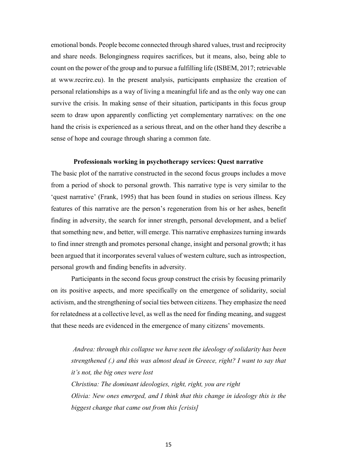emotional bonds. People become connected through shared values, trust and reciprocity and share needs. Belongingness requires sacrifices, but it means, also, being able to count on the power of the group and to pursue a fulfilling life (ISBEM, 2017; retrievable at www.recrire.eu). In the present analysis, participants emphasize the creation of personal relationships as a way of living a meaningful life and as the only way one can survive the crisis. In making sense of their situation, participants in this focus group seem to draw upon apparently conflicting yet complementary narratives: on the one hand the crisis is experienced as a serious threat, and on the other hand they describe a sense of hope and courage through sharing a common fate.

## Professionals working in psychotherapy services: Quest narrative

The basic plot of the narrative constructed in the second focus groups includes a move from a period of shock to personal growth. This narrative type is very similar to the 'quest narrative' (Frank, 1995) that has been found in studies on serious illness. Key features of this narrative are the person's regeneration from his or her ashes, benefit finding in adversity, the search for inner strength, personal development, and a belief that something new, and better, will emerge. This narrative emphasizes turning inwards to find inner strength and promotes personal change, insight and personal growth; it has been argued that it incorporates several values of western culture, such as introspection, personal growth and finding benefits in adversity.

Participants in the second focus group construct the crisis by focusing primarily on its positive aspects, and more specifically on the emergence of solidarity, social activism, and the strengthening of social ties between citizens. They emphasize the need for relatedness at a collective level, as well as the need for finding meaning, and suggest that these needs are evidenced in the emergence of many citizens' movements.

 Andrea: through this collapse we have seen the ideology of solidarity has been strengthened (.) and this was almost dead in Greece, right? I want to say that it's not, the big ones were lost Christina: The dominant ideologies, right, right, you are right Olivia: New ones emerged, and I think that this change in ideology this is the biggest change that came out from this [crisis]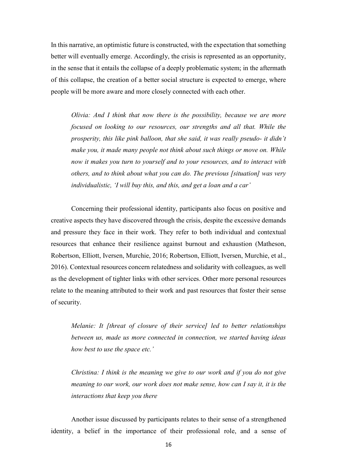In this narrative, an optimistic future is constructed, with the expectation that something better will eventually emerge. Accordingly, the crisis is represented as an opportunity, in the sense that it entails the collapse of a deeply problematic system; in the aftermath of this collapse, the creation of a better social structure is expected to emerge, where people will be more aware and more closely connected with each other.

Olivia: And I think that now there is the possibility, because we are more focused on looking to our resources, our strengths and all that. While the prosperity, this like pink balloon, that she said, it was really pseudo- it didn't make you, it made many people not think about such things or move on. While now it makes you turn to yourself and to your resources, and to interact with others, and to think about what you can do. The previous [situation] was very individualistic, 'I will buy this, and this, and get a loan and a car'

Concerning their professional identity, participants also focus on positive and creative aspects they have discovered through the crisis, despite the excessive demands and pressure they face in their work. They refer to both individual and contextual resources that enhance their resilience against burnout and exhaustion (Matheson, Robertson, Elliott, Iversen, Murchie, 2016; Robertson, Elliott, Iversen, Murchie, et al., 2016). Contextual resources concern relatedness and solidarity with colleagues, as well as the development of tighter links with other services. Other more personal resources relate to the meaning attributed to their work and past resources that foster their sense of security.

Melanie: It [threat of closure of their service] led to better relationships between us, made us more connected in connection, we started having ideas how best to use the space etc.'

Christina: I think is the meaning we give to our work and if you do not give meaning to our work, our work does not make sense, how can I say it, it is the interactions that keep you there

Another issue discussed by participants relates to their sense of a strengthened identity, a belief in the importance of their professional role, and a sense of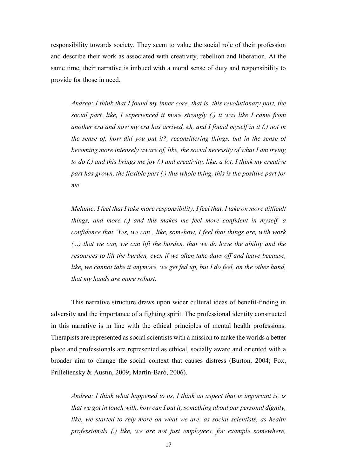responsibility towards society. They seem to value the social role of their profession and describe their work as associated with creativity, rebellion and liberation. At the same time, their narrative is imbued with a moral sense of duty and responsibility to provide for those in need.

Andrea: I think that I found my inner core, that is, this revolutionary part, the social part, like, I experienced it more strongly (.) it was like I came from another era and now my era has arrived, eh, and I found myself in it (.) not in the sense of, how did you put it?, reconsidering things, but in the sense of becoming more intensely aware of, like, the social necessity of what I am trying to do (.) and this brings me joy (.) and creativity, like, a lot, I think my creative part has grown, the flexible part (.) this whole thing, this is the positive part for me

Melanie: I feel that I take more responsibility, I feel that, I take on more difficult things, and more (.) and this makes me feel more confident in myself, a confidence that 'Yes, we can', like, somehow, I feel that things are, with work (...) that we can, we can lift the burden, that we do have the ability and the resources to lift the burden, even if we often take days off and leave because, like, we cannot take it anymore, we get fed up, but I do feel, on the other hand, that my hands are more robust.

This narrative structure draws upon wider cultural ideas of benefit-finding in adversity and the importance of a fighting spirit. The professional identity constructed in this narrative is in line with the ethical principles of mental health professions. Therapists are represented as social scientists with a mission to make the worlds a better place and professionals are represented as ethical, socially aware and oriented with a broader aim to change the social context that causes distress (Burton, 2004; Fox, Prilleltensky & Austin, 2009; Martín-Baró, 2006).

Andrea: I think what happened to us, I think an aspect that is important is, is that we got in touch with, how can I put it, something about our personal dignity, like, we started to rely more on what we are, as social scientists, as health professionals (.) like, we are not just employees, for example somewhere,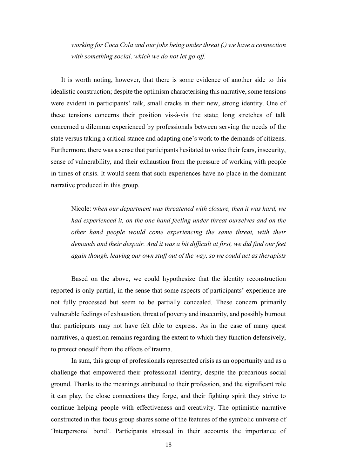working for Coca Cola and our jobs being under threat (.) we have a connection with something social, which we do not let go off.

It is worth noting, however, that there is some evidence of another side to this idealistic construction; despite the optimism characterising this narrative, some tensions were evident in participants' talk, small cracks in their new, strong identity. One of these tensions concerns their position vis-à-vis the state; long stretches of talk concerned a dilemma experienced by professionals between serving the needs of the state versus taking a critical stance and adapting one's work to the demands of citizens. Furthermore, there was a sense that participants hesitated to voice their fears, insecurity, sense of vulnerability, and their exhaustion from the pressure of working with people in times of crisis. It would seem that such experiences have no place in the dominant narrative produced in this group.

Nicole: when our department was threatened with closure, then it was hard, we had experienced it, on the one hand feeling under threat ourselves and on the other hand people would come experiencing the same threat, with their demands and their despair. And it was a bit difficult at first, we did find our feet again though, leaving our own stuff out of the way, so we could act as therapists

Based on the above, we could hypothesize that the identity reconstruction reported is only partial, in the sense that some aspects of participants' experience are not fully processed but seem to be partially concealed. These concern primarily vulnerable feelings of exhaustion, threat of poverty and insecurity, and possibly burnout that participants may not have felt able to express. As in the case of many quest narratives, a question remains regarding the extent to which they function defensively, to protect oneself from the effects of trauma.

In sum, this group of professionals represented crisis as an opportunity and as a challenge that empowered their professional identity, despite the precarious social ground. Thanks to the meanings attributed to their profession, and the significant role it can play, the close connections they forge, and their fighting spirit they strive to continue helping people with effectiveness and creativity. The optimistic narrative constructed in this focus group shares some of the features of the symbolic universe of 'Interpersonal bond'. Participants stressed in their accounts the importance of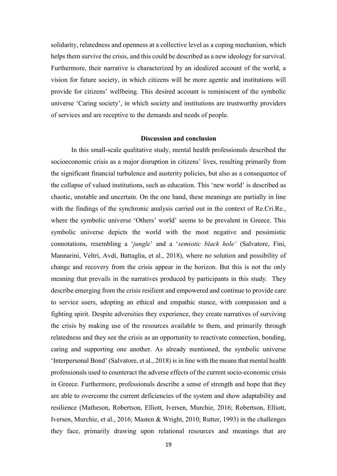solidarity, relatedness and openness at a collective level as a coping mechanism, which helps them survive the crisis, and this could be described as a new ideology for survival. Furthermore, their narrative is characterized by an idealized account of the world, a vision for future society, in which citizens will be more agentic and institutions will provide for citizens' wellbeing. This desired account is reminiscent of the symbolic universe 'Caring society', in which society and institutions are trustworthy providers of services and are receptive to the demands and needs of people.

#### Discussion and conclusion

In this small-scale qualitative study, mental health professionals described the socioeconomic crisis as a major disruption in citizens' lives, resulting primarily from the significant financial turbulence and austerity policies, but also as a consequence of the collapse of valued institutions, such as education. This 'new world' is described as chaotic, unstable and uncertain. On the one hand, these meanings are partially in line with the findings of the synchronic analysis carried out in the context of Re.Cri.Re., where the symbolic universe 'Others' world' seems to be prevalent in Greece. This symbolic universe depicts the world with the most negative and pessimistic connotations, resembling a 'jungle' and a 'semiotic black hole' (Salvatore, Fini, Mannarini, Veltri, Avdi, Battaglia, et al., 2018), where no solution and possibility of change and recovery from the crisis appear in the horizon. But this is not the only meaning that prevails in the narratives produced by participants in this study. They describe emerging from the crisis resilient and empowered and continue to provide care to service users, adopting an ethical and empathic stance, with compassion and a fighting spirit. Despite adversities they experience, they create narratives of surviving the crisis by making use of the resources available to them, and primarily through relatedness and they see the crisis as an opportunity to reactivate connection, bonding, caring and supporting one another. As already mentioned, the symbolic universe 'Interpersonal Bond' (Salvatore, et al., 2018) is in line with the means that mental health professionals used to counteract the adverse effects of the current socio-economic crisis in Greece. Furthermore, professionals describe a sense of strength and hope that they are able to overcome the current deficiencies of the system and show adaptability and resilience (Matheson, Robertson, Elliott, Iversen, Murchie, 2016; Robertson, Elliott, Iversen, Murchie, et al., 2016; Masten & Wright, 2010; Rutter, 1993) in the challenges they face, primarily drawing upon relational resources and meanings that are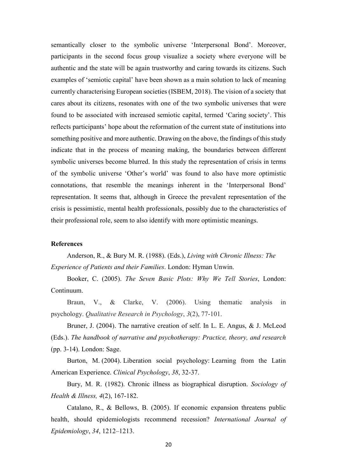semantically closer to the symbolic universe 'Interpersonal Bond'. Moreover, participants in the second focus group visualize a society where everyone will be authentic and the state will be again trustworthy and caring towards its citizens. Such examples of 'semiotic capital' have been shown as a main solution to lack of meaning currently characterising European societies (ISBEM, 2018). The vision of a society that cares about its citizens, resonates with one of the two symbolic universes that were found to be associated with increased semiotic capital, termed 'Caring society'. This reflects participants' hope about the reformation of the current state of institutions into something positive and more authentic. Drawing on the above, the findings of this study indicate that in the process of meaning making, the boundaries between different symbolic universes become blurred. In this study the representation of crisis in terms of the symbolic universe 'Other's world' was found to also have more optimistic connotations, that resemble the meanings inherent in the 'Interpersonal Bond' representation. It seems that, although in Greece the prevalent representation of the crisis is pessimistic, mental health professionals, possibly due to the characteristics of their professional role, seem to also identify with more optimistic meanings.

## References

Anderson, R., & Bury M. R. (1988). (Eds.), Living with Chronic Illness: The Experience of Patients and their Families. London: Hyman Unwin.

Booker, C. (2005). The Seven Basic Plots: Why We Tell Stories, London: Continuum.

Braun, V., & Clarke, V. (2006). Using thematic analysis in psychology. Qualitative Research in Psychology, 3(2), 77-101.

Bruner, J. (2004). The narrative creation of self. In L. E. Angus, & J. McLeod (Eds.). The handbook of narrative and psychotherapy: Practice, theory, and research (pp. 3-14). London: Sage.

Burton, M. (2004). Liberation social psychology: Learning from the Latin American Experience. Clinical Psychology, 38, 32-37.

Bury, M. R. (1982). Chronic illness as biographical disruption. Sociology of Health & Illness, 4(2), 167-182.

Catalano, R., & Bellows, B. (2005). If economic expansion threatens public health, should epidemiologists recommend recession? International Journal of Epidemiology, 34, 1212–1213.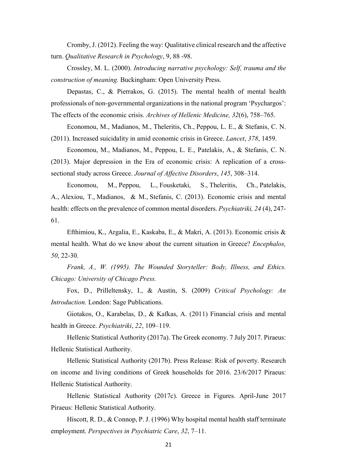Cromby, J. (2012). Feeling the way: Qualitative clinical research and the affective turn. Qualitative Research in Psychology, 9, 88 -98.

Crossley, M. L. (2000). Introducing narrative psychology: Self, trauma and the construction of meaning. Buckingham: Open University Press.

Depastas, C., & Pierrakos, G. (2015). The mental health of mental health professionals of non-governmental organizations in the national program 'Psychargos': The effects of the economic crisis. Archives of Hellenic Medicine, 32(6), 758–765.

Economou, M., Madianos, M., Theleritis, Ch., Peppou, L. E., & Stefanis, C. N. (2011). Increased suicidality in amid economic crisis in Greece. Lancet, 378, 1459.

Economou, M., Madianos, M., Peppou, L. E., Patelakis, A., & Stefanis, C. N. (2013). Major depression in the Era of economic crisis: A replication of a crosssectional study across Greece. Journal of Affective Disorders, 145, 308-314.

Economou, M., Peppou, L., Fousketaki, S., Theleritis, Ch., Patelakis, A., Alexiou, T., Madianos, & M., Stefanis, C. (2013). Economic crisis and mental health: effects on the prevalence of common mental disorders. Psychiatriki, 24 (4), 247- 61.

Efthimiou, K., Argalia, E., Kaskaba, E., & Makri, A. (2013). Economic crisis & mental health. What do we know about the current situation in Greece? *Encephalos*, 50, 22-30.

Frank, A., W. (1995). The Wounded Storyteller: Body, Illness, and Ethics. Chicago: University of Chicago Press.

Fox, D., Prilleltensky, I., & Austin, S. (2009) Critical Psychology: An Introduction. London: Sage Publications.

Giotakos, Ο., Karabelas, D., & Kafkas, Α. (2011) Financial crisis and mental health in Greece. Psychiatriki, 22, 109–119.

Hellenic Statistical Authority (2017a). The Greek economy. 7 July 2017. Piraeus: Hellenic Statistical Authority.

Hellenic Statistical Authority (2017b). Press Release: Risk of poverty. Research on income and living conditions of Greek households for 2016. 23/6/2017 Piraeus: Hellenic Statistical Authority.

Hellenic Statistical Authority (2017c). Greece in Figures. April-June 2017 Piraeus: Hellenic Statistical Authority.

Hiscott, R. D., & Connop, P. J. (1996) Why hospital mental health staff terminate employment. Perspectives in Psychiatric Care, 32, 7–11.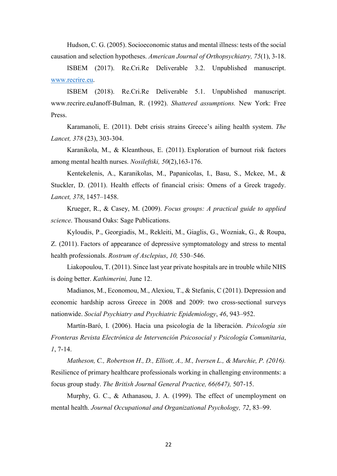Hudson, C. G. (2005). Socioeconomic status and mental illness: tests of the social causation and selection hypotheses. American Journal of Orthopsychiatry, 75(1), 3-18.

ISBEM (2017). Re.Cri.Re Deliverable 3.2. Unpublished manuscript. www.recrire.eu.

ISBEM (2018). Re.Cri.Re Deliverable 5.1. Unpublished manuscript. www.recrire.euJanoff-Bulman, R. (1992). Shattered assumptions. New York: Free Press.

Karamanoli, E. (2011). Debt crisis strains Greece's ailing health system. The Lancet, 378 (23), 303-304.

Karanikola, M., & Kleanthous, E. (2011). Exploration of burnout risk factors among mental health nurses. Nosileftiki, 50(2),163-176.

Kentekelenis, A., Karanikolas, M., Papanicolas, I., Basu, S., Mckee, M., & Stuckler, D. (2011). Health effects of financial crisis: Omens of a Greek tragedy. Lancet, 378, 1457–1458.

Krueger, R., & Casey, M. (2009). Focus groups: A practical guide to applied science. Thousand Oaks: Sage Publications.

Kyloudis, P., Georgiadis, M., Rekleiti, M., Giaglis, G., Wozniak, G., & Roupa, Z. (2011). Factors of appearance of depressive symptomatology and stress to mental health professionals. Rostrum of Asclepius, 10, 530–546.

Liakopoulou, T. (2011). Since last year private hospitals are in trouble while NHS is doing better. Kathimerini, June 12.

Madianos, M., Economou, M., Alexiou, T., & Stefanis, C (2011). Depression and economic hardship across Greece in 2008 and 2009: two cross-sectional surveys nationwide. Social Psychiatry and Psychiatric Epidemiology, 46, 943–952.

Martín-Baró, I. (2006). Hacia una psicología de la liberación. Psicología sin Fronteras Revista Electrónica de Intervención Psicosocial y Psicología Comunitaria, 1, 7-14.

Matheson, C., Robertson H., D., Elliott, A., M., Iversen L., & Murchie, P. (2016). Resilience of primary healthcare professionals working in challenging environments: a focus group study. The British Journal General Practice, 66(647), 507-15.

Murphy, G. C., & Athanasou, J. A. (1999). The effect of unemployment on mental health. Journal Occupational and Organizational Psychology, 72, 83–99.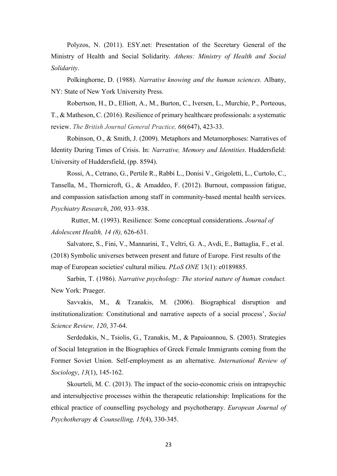Polyzos, N. (2011). ESY.net: Presentation of the Secretary General of the Ministry of Health and Social Solidarity. Athens: Ministry of Health and Social Solidarity.

Polkinghorne, D. (1988). Narrative knowing and the human sciences. Albany, NY: State of New York University Press.

Robertson, H., D., Elliott, A., M., Burton, C., Iversen, L., Murchie, P., Porteous, T., & Matheson, C. (2016). Resilience of primary healthcare professionals: a systematic review. The British Journal General Practice, 66(647), 423-33.

Robinson, O., & Smith, J. (2009). Metaphors and Metamorphoses: Narratives of Identity During Times of Crisis. In: Narrative, Memory and Identities. Huddersfield: University of Huddersfield, (pp. 8594).

Rossi, A., Cetrano, G., Pertile R., Rabbi L., Donisi V., Grigoletti, L., Curtolo, C., Tansella, M., Thornicroft, G., & Amaddeo, F. (2012). Burnout, compassion fatigue, and compassion satisfaction among staff in community-based mental health services. Psychiatry Research, 200, 933–938.

Rutter, M. (1993). Resilience: Some conceptual considerations. Journal of Adolescent Health, 14 (8), 626-631.

Salvatore, S., Fini, V., Mannarini, T., Veltri, G. A., Avdi, E., Battaglia, F., et al. (2018) Symbolic universes between present and future of Europe. First results of the map of European societies' cultural milieu. PLoS ONE 13(1): e0189885.

Sarbin, T. (1986). Narrative psychology: The storied nature of human conduct. New York: Praeger.

Savvakis, M., & Tzanakis, M. (2006). Biographical disruption and institutionalization: Constitutional and narrative aspects of a social process', Social Science Review, 120, 37-64.

Serdedakis, N., Tsiolis, G., Tzanakis, M., & Papaioannou, S. (2003). Strategies of Social Integration in the Biographies of Greek Female Immigrants coming from the Former Soviet Union. Self-employment as an alternative. International Review of Sociology, 13(1), 145-162.

Skourteli, M. C. (2013). The impact of the socio-economic crisis on intrapsychic and intersubjective processes within the therapeutic relationship: Implications for the ethical practice of counselling psychology and psychotherapy. European Journal of Psychotherapy & Counselling, 15(4), 330-345.